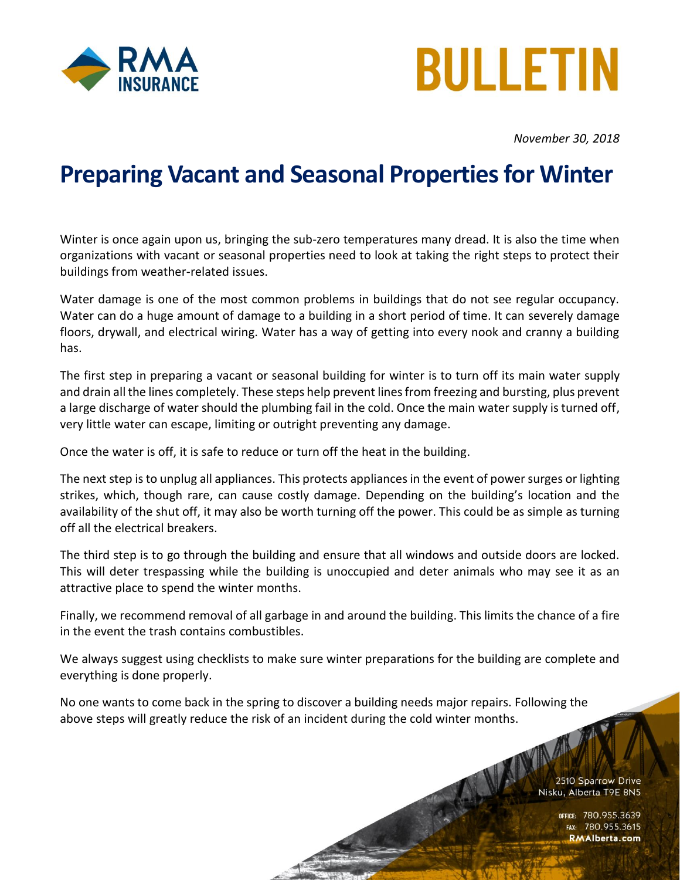



*November 30, 2018*

## **Preparing Vacant and Seasonal Properties for Winter**

Winter is once again upon us, bringing the sub-zero temperatures many dread. It is also the time when organizations with vacant or seasonal properties need to look at taking the right steps to protect their buildings from weather-related issues.

Water damage is one of the most common problems in buildings that do not see regular occupancy. Water can do a huge amount of damage to a building in a short period of time. It can severely damage floors, drywall, and electrical wiring. Water has a way of getting into every nook and cranny a building has.

The first step in preparing a vacant or seasonal building for winter is to turn off its main water supply and drain all the lines completely. These steps help prevent lines from freezing and bursting, plus prevent a large discharge of water should the plumbing fail in the cold. Once the main water supply is turned off, very little water can escape, limiting or outright preventing any damage.

Once the water is off, it is safe to reduce or turn off the heat in the building.

The next step is to unplug all appliances. This protects appliances in the event of power surges or lighting strikes, which, though rare, can cause costly damage. Depending on the building's location and the availability of the shut off, it may also be worth turning off the power. This could be as simple as turning off all the electrical breakers.

The third step is to go through the building and ensure that all windows and outside doors are locked. This will deter trespassing while the building is unoccupied and deter animals who may see it as an attractive place to spend the winter months.

Finally, we recommend removal of all garbage in and around the building. This limits the chance of a fire in the event the trash contains combustibles.

We always suggest using checklists to make sure winter preparations for the building are complete and everything is done properly.

No one wants to come back in the spring to discover a building needs major repairs. Following the above steps will greatly reduce the risk of an incident during the cold winter months.

> NAMA 2510 Sparrow Drive Nisku, Alberta T9E 8N5

> > office: 780.955,3639<br>1136.780.955 rax: 78 FAX: **RMAlberta.com**